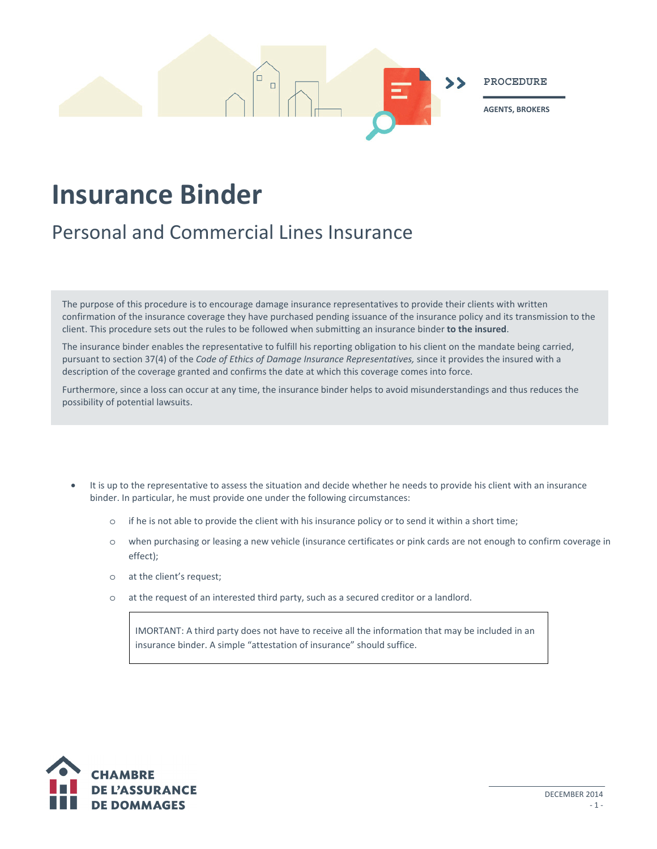

## **Insurance Binder**

## Personal and Commercial Lines Insurance

The purpose of this procedure is to encourage damage insurance representatives to provide their clients with written confirmation of the insurance coverage they have purchased pending issuance of the insurance policy and its transmission to the client. This procedure sets out the rules to be followed when submitting an insurance binder **to the insured**.

The insurance binder enables the representative to fulfill his reporting obligation to his client on the mandate being carried, pursuant to section 37(4) of the *Code of Ethics of Damage Insurance Representatives,* since it provides the insured with a description of the coverage granted and confirms the date at which this coverage comes into force.

Furthermore, since a loss can occur at any time, the insurance binder helps to avoid misunderstandings and thus reduces the possibility of potential lawsuits.

- It is up to the representative to assess the situation and decide whether he needs to provide his client with an insurance binder. In particular, he must provide one under the following circumstances:
	- $\circ$  if he is not able to provide the client with his insurance policy or to send it within a short time;
	- o when purchasing or leasing a new vehicle (insurance certificates or pink cards are not enough to confirm coverage in effect);
	- o at the client's request;
	- o at the request of an interested third party, such as a secured creditor or a landlord.

IMORTANT: A third party does not have to receive all the information that may be included in an insurance binder. A simple "attestation of insurance" should suffice.